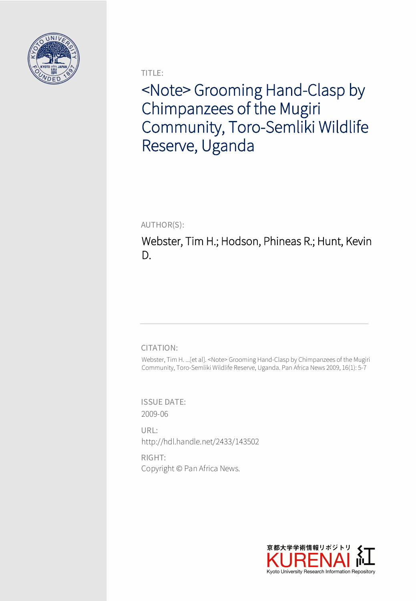

TITLE:

<Note> Grooming Hand-Clasp by Chimpanzees of the Mugiri Community, Toro-Semliki Wildlife Reserve, Uganda

AUTHOR(S):

Webster, Tim H.; Hodson, Phineas R.; Hunt, Kevin D.

## CITATION:

Webster, Tim H. ...[et al]. <Note> Grooming Hand-Clasp by Chimpanzees of the Mugiri Community, Toro-Semliki Wildlife Reserve, Uganda. Pan Africa News 2009, 16(1): 5-7

ISSUE DATE: 2009-06

URL: http://hdl.handle.net/2433/143502

RIGHT: Copyright © Pan Africa News.

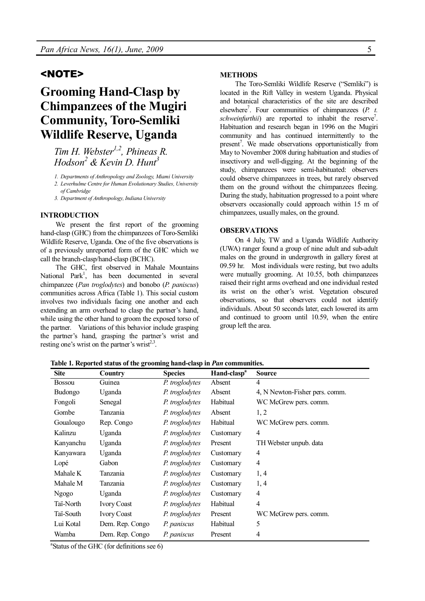### <NOTE>

# **Grooming Hand-Clasp by Chimpanzees of the Mugiri Community, Toro-Semliki Wildlife Reserve, Uganda**

*Tim H. Webster1,2, Phineas R. Hodson<sup>2</sup> & Kevin D. Hunt<sup>3</sup>*

- *1. Departments of Anthropology and Zoology, Miami University*
- *2. Leverhulme Centre for Human Evolutionary Studies, University of Cambridge*
- *3. Department of Anthropology, Indiana University*

#### **INTRODUCTION**

We present the first report of the grooming hand-clasp (GHC) from the chimpanzees of Toro-Semliki Wildlife Reserve, Uganda. One of the five observations is of a previously unreported form of the GHC which we call the branch-clasp/hand-clasp (BCHC).

The GHC, first observed in Mahale Mountains National Park<sup>1</sup>, has been documented in several chimpanzee (*Pan troglodytes*) and bonobo (*P. paniscus*) communities across Africa (Table 1). This social custom involves two individuals facing one another and each extending an arm overhead to clasp the partner's hand, while using the other hand to groom the exposed torso of the partner. Variations of this behavior include grasping the partner's hand, grasping the partner's wrist and resting one's wrist on the partner's wrist $2^{3}$ .

#### **METHODS**

The Toro-Semliki Wildlife Reserve ("Semliki") is located in the Rift Valley in western Uganda. Physical and botanical characteristics of the site are described elsewhere<sup>7</sup>. Four communities of chimpanzees (*P. t.* schweinfurthii) are reported to inhabit the reserve<sup>7</sup>. Habituation and research began in 1996 on the Mugiri community and has continued intermittently to the present<sup>7</sup>. We made observations opportunistically from May to November 2008 during habituation and studies of insectivory and well-digging. At the beginning of the study, chimpanzees were semi-habituated: observers could observe chimpanzees in trees, but rarely observed them on the ground without the chimpanzees fleeing. During the study, habituation progressed to a point where observers occasionally could approach within 15 m of chimpanzees, usually males, on the ground.

#### **OBSERVATIONS**

On 4 July, TW and a Uganda Wildlife Authority (UWA) ranger found a group of nine adult and sub-adult males on the ground in undergrowth in gallery forest at 09.59 hr. Most individuals were resting, but two adults were mutually grooming. At 10.55, both chimpanzees raised their right arms overhead and one individual rested its wrist on the other's wrist. Vegetation obscured observations, so that observers could not identify individuals. About 50 seconds later, each lowered its arm and continued to groom until 10.59, when the entire group left the area.

**Site Country Species Hand-clasp<sup>a</sup> Source** Bossou Guinea *P. troglodytes* Absent 4 Budongo Uganda *P. troglodytes* Absent 4, N Newton-Fisher pers. comm. Fongoli Senegal *P. troglodytes* Habitual WC McGrew pers. comm. Gombe Tanzania *P. troglodytes* Absent 1, 2 Goualougo Rep. Congo *P. troglodytes* Habitual WC McGrew pers. comm. Kalinzu Uganda *P. troglodytes* Customary 4 Kanyanchu Uganda *P. troglodytes* Present TH Webster unpub. data Kanyawara Uganda *P. troglodytes* Customary 4 Lopé Gabon *P. troglodytes* Customary 4 Mahale K Tanzania *P. troglodytes* Customary 1, 4 Mahale M Tanzania *P. troglodytes* Customary 1, 4 Ngogo Uganda *P. troglodytes* Customary 4 Taï-North Ivory Coast *P. troglodytes* Habitual 4 Taï-South Ivory Coast *P. troglodytes* Present WC McGrew pers. comm. Lui Kotal Dem. Rep. Congo *P. paniscus* Habitual 5 Wamba Dem. Rep. Congo *P. paniscus* Present 4

**Table 1. Reported status of the grooming hand-clasp in** *Pan* **communities.**

a Status of the GHC (for definitions see 6)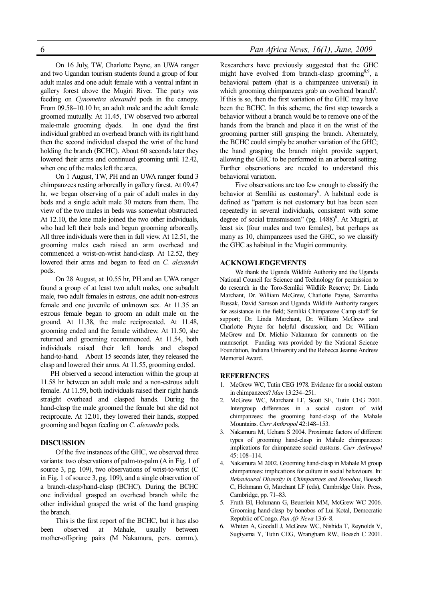On 16 July, TW, Charlotte Payne, an UWA ranger and two Ugandan tourism students found a group of four adult males and one adult female with a ventral infant in gallery forest above the Mugiri River. The party was feeding on *Cynometra alexandri* pods in the canopy. From 09.58–10.10 hr, an adult male and the adult female groomed mutually. At 11.45, TW observed two arboreal male-male grooming dyads. In one dyad the first individual grabbed an overhead branch with its right hand then the second individual clasped the wrist of the hand holding the branch (BCHC). About 60 seconds later they lowered their arms and continued grooming until 12.42, when one of the males left the area.

On 1 August, TW, PH and an UWA ranger found 3 chimpanzees resting arboreally in gallery forest. At 09.47 hr, we began observing of a pair of adult males in day beds and a single adult male 30 meters from them. The view of the two males in beds was somewhat obstructed. At 12.10, the lone male joined the two other individuals, who had left their beds and begun grooming arboreally. All three individuals were then in full view. At 12.51, the grooming males each raised an arm overhead and commenced a wrist-on-wrist hand-clasp. At 12.52, they lowered their arms and began to feed on *C. alexandri* pods.

On 28 August, at 10.55 hr, PH and an UWA ranger found a group of at least two adult males, one subadult male, two adult females in estrous, one adult non-estrous female and one juvenile of unknown sex. At 11.35 an estrous female began to groom an adult male on the ground. At 11.38, the male reciprocated. At 11.48, grooming ended and the female withdrew. At 11.50, she returned and grooming recommenced. At 11.54, both individuals raised their left hands and clasped hand-to-hand. About 15 seconds later, they released the clasp and lowered their arms. At 11.55, grooming ended.

PH observed a second interaction within the group at 11.58 hr between an adult male and a non-estrous adult female. At 11.59, both individuals raised their right hands straight overhead and clasped hands. During the hand-clasp the male groomed the female but she did not reciprocate. At 12.01, they lowered their hands, stopped grooming and began feeding on *C. alexandri* pods.

#### **DISCUSSION**

Of the five instances of the GHC, we observed three variants: two observations of palm-to-palm (A in Fig. 1 of source 3, pg. 109), two observations of wrist-to-wrist (C in Fig. 1 of source 3, pg. 109), and a single observation of a branch-clasp/hand-clasp (BCHC). During the BCHC one individual grasped an overhead branch while the other individual grasped the wrist of the hand grasping the branch.

This is the first report of the BCHC, but it has also been observed at Mahale, usually between mother-offspring pairs (M Nakamura, pers. comm.). Researchers have previously suggested that the GHC might have evolved from branch-clasp grooming<sup>8,9</sup>, a behavioral pattern (that is a chimpanzee universal) in which grooming chimpanzees grab an overhead branch<sup>6</sup>. If this is so, then the first variation of the GHC may have been the BCHC. In this scheme, the first step towards a behavior without a branch would be to remove one of the hands from the branch and place it on the wrist of the grooming partner still grasping the branch. Alternately, the BCHC could simply be another variation of the GHC; the hand grasping the branch might provide support, allowing the GHC to be performed in an arboreal setting. Further observations are needed to understand this behavioral variation.

Five observations are too few enough to classify the behavior at Semliki as customary<sup>6</sup>. A habitual code is defined as "pattern is not customary but has been seen repeatedly in several individuals, consistent with some degree of social transmission" (pg.  $1488$ <sup>6</sup>. At Mugiri, at least six (four males and two females), but perhaps as many as 10, chimpanzees used the GHC, so we classify the GHC as habitual in the Mugiri community.

#### **ACKNOWLEDGEMENTS**

We thank the Uganda Wildlife Authority and the Uganda National Council for Science and Technology for permission to do research in the Toro-Semliki Wildlife Reserve; Dr. Linda Marchant, Dr. William McGrew, Charlotte Payne, Samantha Russak, David Samson and Uganda Wildlife Authority rangers for assistance in the field; Semliki Chimpanzee Camp staff for support; Dr. Linda Marchant, Dr. William McGrew and Charlotte Payne for helpful discussion; and Dr. William McGrew and Dr. Michio Nakamura for comments on the manuscript. Funding was provided by the National Science Foundation, Indiana University and the Rebecca Jeanne Andrew Memorial Award.

#### **REFERENCES**

- 1. McGrew WC, Tutin CEG 1978. Evidence for a social custom in chimpanzees? *Man* 13:234–251.
- 2. McGrew WC, Marchant LF, Scott SE, Tutin CEG 2001. Intergroup differences in a social custom of wild chimpanzees: the grooming hand-clasp of the Mahale Mountains. *Curr Anthropol* 42:148–153.
- 3. Nakamura M, Uehara S 2004. Proximate factors of different types of grooming hand-clasp in Mahale chimpanzees: implications for chimpanzee social customs. *Curr Anthropol* 45: 108–114.
- 4. Nakamura M 2002. Grooming hand-clasp in Mahale M group chimpanzees: implications for culture in social behaviours. In: *Behavioural Diversity in Chimpanzees and Bonobos*, Boesch C, Hohmann G, Marchant LF (eds), Cambridge Univ. Press, Cambridge, pp. 71–83.
- 5. Fruth BI, Hohmann G, Beuerlein MM, McGrew WC 2006. Grooming hand-clasp by bonobos of Lui Kotal, Democratic Republic of Congo. *Pan Afr News* 13:6–8.
- 6. Whiten A, Goodall J, McGrew WC, Nishida T, Reynolds V, Sugiyama Y, Tutin CEG, Wrangham RW, Boesch C 2001.